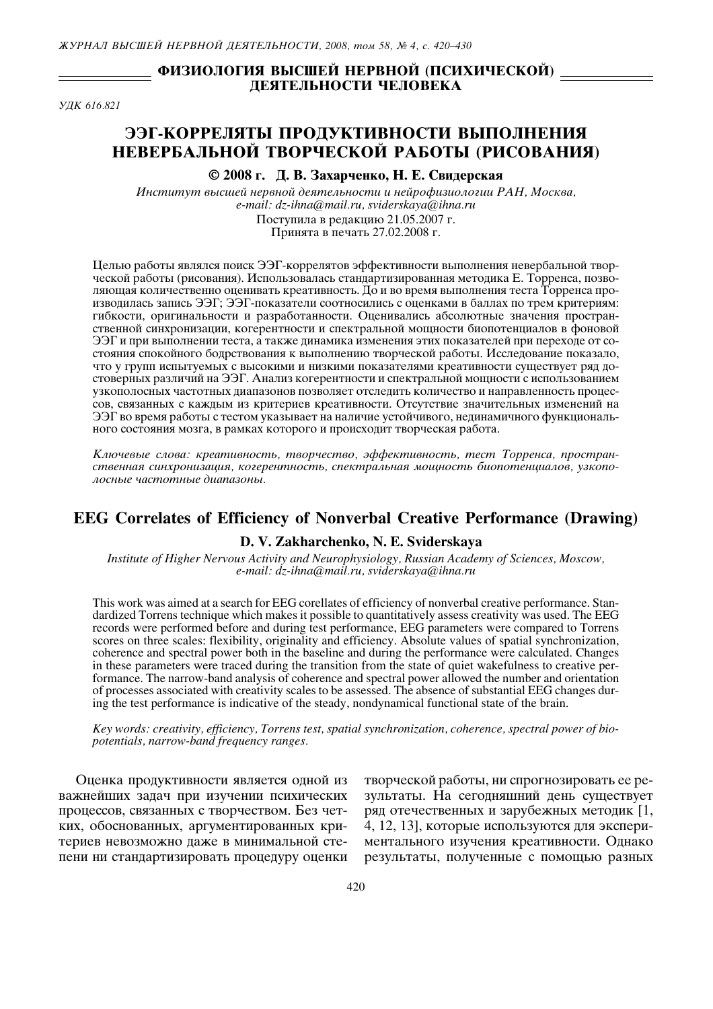## ФИЗИОЛОГИЯ ВЫСШЕЙ НЕРВНОЙ (ПСИХИЧЕСКОЙ) \_ ДЕЯТЕЛЬНОСТИ ЧЕЛОВЕКА

**Y/IK 616 821** 

# ЭЭГ-КОРРЕЛЯТЫ ПРОДУКТИВНОСТИ ВЫПОЛНЕНИЯ НЕВЕРБАЛЬНОЙ ТВОРЧЕСКОЙ РАБОТЫ (РИСОВАНИЯ)

## © 2008 г. Д. В. Захарченко, Н. Е. Свидерская

Институт высшей нервной деятельности и нейрофизиологии РАН, Москва, e-mail: dz-ihna@mail.ru, sviderskaya@ihna.ru Поступила в редакцию 21.05.2007 г.

Принята в печать 27.02.2008 г.

Целью работы являлся поиск ЭЭГ-коррелятов эффективности выполнения невербальной творческой работы (рисования). Использовалась стандартизированная методика Е. Торренса, позволяющая количественно оценивать креативность. До и во время выполнения теста Торренса производилась запись ЭЭГ; ЭЭГ-показатели соотносились с оценками в баллах по трем критериям: гибкости, оригинальности и разработанности. Оценивались абсолютные значения пространственной синхронизации, когерентности и спектральной мощности биопотенциалов в фоновой ЭЭГ и при выполнении теста, а также динамика изменения этих показателей при переходе от состояния спокойного бодрствования к выполнению творческой работы. Исследование показало, что у групп испытуемых с высокими и низкими показателями креативности существует ряд достоверных различий на ЭЭГ. Анализ когерентности и спектральной мощности с использованием узкополосных частотных диапазонов позволяет отследить количество и направленность процессов, связанных с каждым из критериев креативности. Отсутствие значительных изменений на ЭЭГ во время работы с тестом указывает на наличие устойчивого, нединамичного функционального состояния мозга, в рамках которого и происходит творческая работа.

Ключевые слова: креативность, творчество, эффективность, тест Торренса, пространственная синхронизация, когерентность, спектральная мощность биопотенциалов, узкополосные частотные диапазоны.

# **EEG Correlates of Efficiency of Nonverbal Creative Performance (Drawing)**

## D. V. Zakharchenko, N. E. Sviderskaya

Institute of Higher Nervous Activity and Neurophysiology, Russian Academy of Sciences, Moscow, e-mail: dz-ihna@mail.ru, sviderskaya@ihna.ru

This work was aimed at a search for EEG corellates of efficiency of nonverbal creative performance. Standardized Torrens technique which makes it possible to quantitatively assess creativity was used. The EEG records were performed before and during test performance, EEG parameters were compared to Torrens scores on three scales: flexibility, originality and efficiency. Absolute values of spatial synchronization, coherence and spectral power both in the baseline and during the performance were calculated. Changes in these parameters were traced during the transition from the state of quiet wakefulness to creative performance. The narrow-band analysis of coherence and spectral power allowed the number and orientation of processes associated with creativity scales to be assessed. The absence of substantial EEG changes during the test performance is indicative of the steady, nondynamical functional state of the brain.

Key words: creativity, efficiency, Torrens test, spatial synchronization, coherence, spectral power of biopotentials, narrow-band frequency ranges.

Оценка продуктивности является одной из важнейших задач при изучении психических процессов, связанных с творчеством. Без четких, обоснованных, аргументированных критериев невозможно даже в минимальной степени ни стандартизировать процедуру оценки

творческой работы, ни спрогнозировать ее результаты. На сегодняшний день существует ряд отечественных и зарубежных методик [1, 4, 12, 13], которые используются для экспериментального изучения креативности. Однако результаты, полученные с помощью разных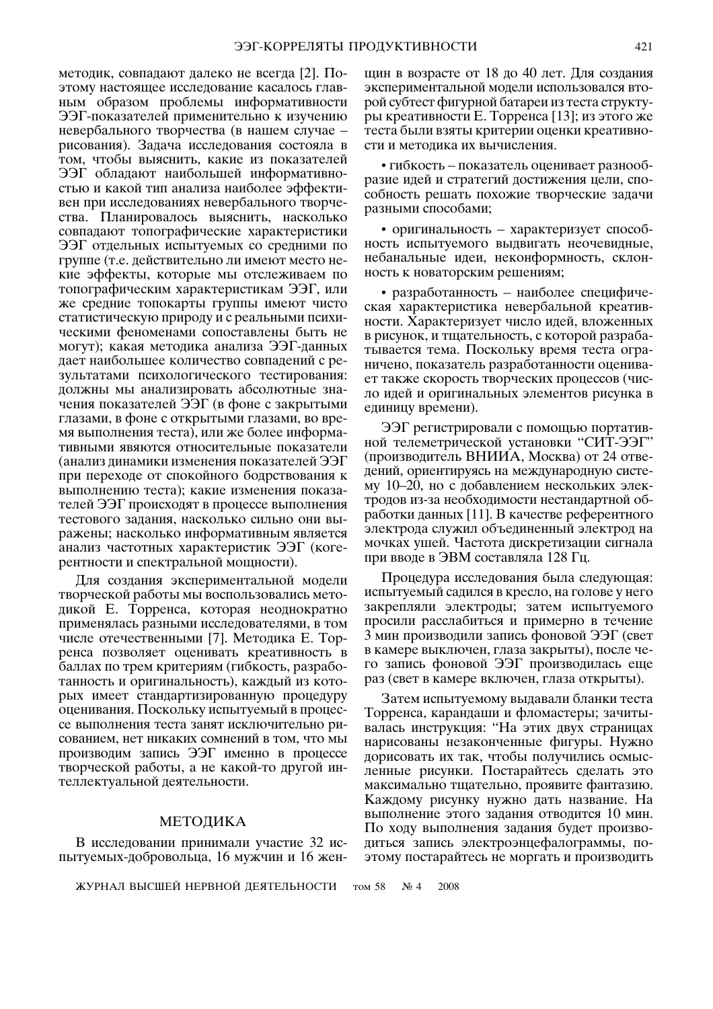методик, совпадают далеко не всегда [2]. Поэтому настоящее исследование касалось главным образом проблемы информативности ЭЭГ-показателей применительно к изучению невербального творчества (в нашем случае рисования). Задача исследования состояла в том, чтобы выяснить, какие из показателей ЭЭГ обладают наибольшей информативностью и какой тип анализа наиболее эффективен при исследованиях невербального творчества. Планировалось выяснить, насколько совпадают топографические характеристики ЭЭГ отдельных испытуемых со средними по группе (т.е. действительно ли имеют место некие эффекты, которые мы отслеживаем по топографическим характеристикам ЭЭГ, или же средние топокарты группы имеют чисто статистическую природу и с реальными психическими феноменами сопоставлены быть не могут); какая методика анализа ЭЭГ-данных дает наибольшее количество совпадений с результатами психологического тестирования: полжны мы анализировать абсолютные значения показателей ЭЭГ (в фоне с закрытыми глазами, в фоне с открытыми глазами, во время выполнения теста), или же более информативными явяются относительные показатели (анализ динамики изменения показателей ЭЭГ при переходе от спокойного бодрствования к выполнению теста); какие изменения показателей ЭЭГ происходят в процессе выполнения тестового задания, насколько сильно они выражены; насколько информативным является анализ частотных характеристик ЭЭГ (когерентности и спектральной мощности).

Для создания экспериментальной модели творческой работы мы воспользовались методикой Е. Торренса, которая неоднократно применялась разными исследователями, в том числе отечественными [7]. Методика Е. Торренса позволяет оценивать креативность в баллах по трем критериям (гибкость, разработанность и оригинальность), каждый из которых имеет стандартизированную процедуру оценивания. Поскольку испытуемый в процессе выполнения теста занят исключительно рисованием, нет никаких сомнений в том, что мы производим запись ЭЭГ именно в процессе творческой работы, а не какой-то другой интеллектуальной деятельности.

#### МЕТОДИКА

В исследовании принимали участие 32 испытуемых-добровольца, 16 мужчин и 16 жен-

ЖУРНАЛ ВЫСШЕЙ НЕРВНОЙ ДЕЯТЕЛЬНОСТИ

щин в возрасте от 18 до 40 лет. Для создания экспериментальной молели использовался второй субтест фигурной батареи из теста структуры креативности Е. Торренса [13]; из этого же теста были взяты критерии оценки креативности и методика их вычисления.

• гибкость - показатель оценивает разнообразие идей и стратегий достижения цели, способность решать похожие творческие задачи разными способами;

• оригинальность - характеризует способность испытуемого выдвигать неочевидные, небанальные идеи, неконформность, склонность к новаторским решениям;

• разработанность - наиболее специфическая характеристика невербальной креативности. Характеризует число идей, вложенных в рисунок, и тщательность, с которой разрабатывается тема. Поскольку время теста ограничено, показатель разработанности оценивает также скорость творческих процессов (число идей и оригинальных элементов рисунка в единицу времени).

ЭЭГ регистрировали с помощью портативной телеметрической установки "СИТ-ЭЭГ" (производитель ВНИИА, Москва) от 24 отведений, ориентируясь на международную систему 10–20, но с добавлением нескольких электродов из-за необходимости нестандартной обработки данных [11]. В качестве референтного электрода служил объединенный электрод на мочках ушей. Частота дискретизации сигнала при вводе в ЭВМ составляла 128 Гц.

Процедура исследования была следующая: испытуемый садился в кресло, на голове у него закрепляли электроды; затем испытуемого просили расслабиться и примерно в течение 3 мин производили запись фоновой ЭЭГ (свет в камере выключен, глаза закрыты), после чего запись фоновой ЭЭГ производилась еще раз (свет в камере включен, глаза открыты).

Затем испытуемому выдавали бланки теста Торренса, карандаши и фломастеры; зачитывалась инструкция: "На этих двух страницах нарисованы незаконченные фигуры. Нужно дорисовать их так, чтобы получились осмысленные рисунки. Постарайтесь сделать это максимально тщательно, проявите фантазию. Каждому рисунку нужно дать название. На выполнение этого задания отводится 10 мин. По ходу выполнения задания будет производиться запись электроэнцефалограммы, поэтому постарайтесь не моргать и производить

том 58  $N_2$  4 2008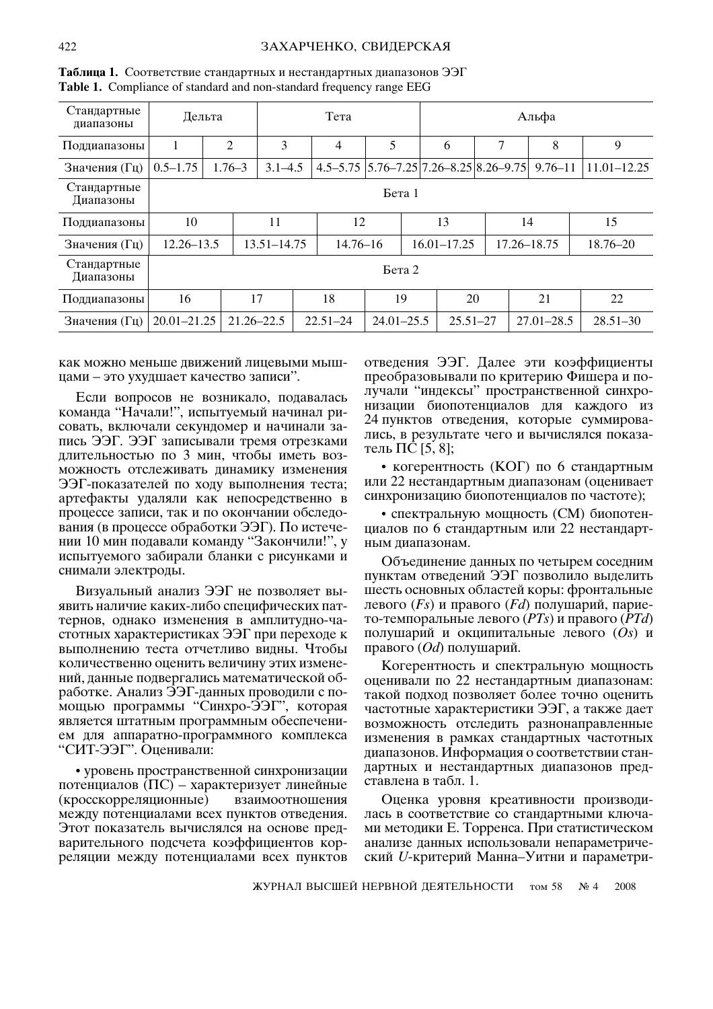| Стандартные<br>диапазоны | Дельта          |            |                 | Тета         |                |                                                        |   | Альфа          |                 |  |
|--------------------------|-----------------|------------|-----------------|--------------|----------------|--------------------------------------------------------|---|----------------|-----------------|--|
| Поддиапазоны             |                 | 2          | 3               | 4            | 5              | 6                                                      | 7 | 8              | 9               |  |
| Значения (Гц)            | $0.5 - 1.75$    | $1.76 - 3$ | $3.1 - 4.5$     |              |                | $4.5 - 5.75$ $5.76 - 7.25$ $7.26 - 8.25$ $8.26 - 9.75$ |   | $9.76 - 11$    | $11.01 - 12.25$ |  |
| Стандартные<br>Диапазоны |                 |            |                 |              | Бета 1         |                                                        |   |                |                 |  |
| Поддиапазоны             | 10              |            | 11              | 12           |                | 13                                                     |   | 14             | 15              |  |
| Значения (Гц)            | $12.26 - 13.5$  |            | $13.51 - 14.75$ | $14.76 - 16$ |                | $16.01 - 17.25$                                        |   | 17.26-18.75    | $18.76 - 20$    |  |
| Стандартные<br>Диапазоны |                 |            |                 |              | Бета 2         |                                                        |   |                |                 |  |
| Поддиапазоны             | 16              |            | 17              | 18           | 19             | 20                                                     |   | 21             | 22              |  |
| Значения (Гц)            | $20.01 - 21.25$ |            | $21.26 - 22.5$  | $22.51 - 24$ | $24.01 - 25.5$ | $25.51 - 27$                                           |   | $27.01 - 28.5$ | $28.51 - 30$    |  |

Таблица 1. Соответствие стандартных и нестандартных диапазонов ЭЭГ Table 1. Compliance of standard and non-standard frequency range EEG

как можно меньше движений лицевыми мышцами - это ухудшает качество записи".

Если вопросов не возникало, подавалась команда "Начали!", испытуемый начинал рисовать, включали секундомер и начинали запись ЭЭГ. ЭЭГ записывали тремя отрезками длительностью по 3 мин, чтобы иметь возможность отслеживать динамику изменения ЭЭГ-показателей по ходу выполнения теста; артефакты удаляли как непосредственно в процессе записи, так и по окончании обследования (в процессе обработки ЭЭГ). По истечении 10 мин подавали команду "Закончили!", у испытуемого забирали бланки с рисунками и снимали электроды.

Визуальный анализ ЭЭГ не позволяет выявить наличие каких-либо специфических паттернов, однако изменения в амплитудно-частотных характеристиках ЭЭГ при переходе к выполнению теста отчетливо видны. Чтобы количественно оценить величину этих изменений, данные подвергались математической обработке. Анализ ЭЭГ-данных проводили с помощью программы "Синхро-ЭЭГ", которая является штатным программным обеспечением для аппаратно-программного комплекса "СИТ-ЭЭГ". Оценивали:

• уровень пространственной синхронизации потенциалов (ПС) – характеризует линейные (кросскорреляционные) взаимоотношения между потенциалами всех пунктов отведения. Этот показатель вычислялся на основе предварительного подсчета коэффициентов корреляции между потенциалами всех пунктов

отведения ЭЭГ. Далее эти коэффициенты преобразовывали по критерию Фишера и получали "индексы" пространственной синхронизации биопотенциалов для каждого из 24 пунктов отведения, которые суммировались, в результате чего и вычислялся показатель ПС [5, 8];

• когерентность (КОГ) по 6 стандартным или 22 нестандартным диапазонам (оценивает синхронизацию биопотенциалов по частоте);

• спектральную мощность (СМ) биопотенциалов по 6 стандартным или 22 нестандартным диапазонам.

Объединение данных по четырем соседним пунктам отведений ЭЭГ позволило выделить шесть основных областей коры: фронтальные левого  $(F_s)$  и правого  $(F_d)$  полушарий, парието-темпоральные левого (PTs) и правого (PTd) полушарий и окципитальные левого  $(O<sub>s</sub>)$  и правого  $(Od)$  полушарий.

Когерентность и спектральную мощность оценивали по 22 нестандартным диапазонам: такой подход позволяет более точно оценить частотные характеристики ЭЭГ, а также дает возможность отследить разнонаправленные изменения в рамках стандартных частотных диапазонов. Информация о соответствии стандартных и нестандартных диапазонов представлена в табл. 1.

Оценка уровня креативности производилась в соответствие со стандартными ключами методики Е. Торренса. При статистическом анализе данных использовали непараметрический U-критерий Манна-Уитни и параметри-

ЖУРНАЛ ВЫСШЕЙ НЕРВНОЙ ДЕЯТЕЛЬНОСТИ том 58  $N_2$  4 2008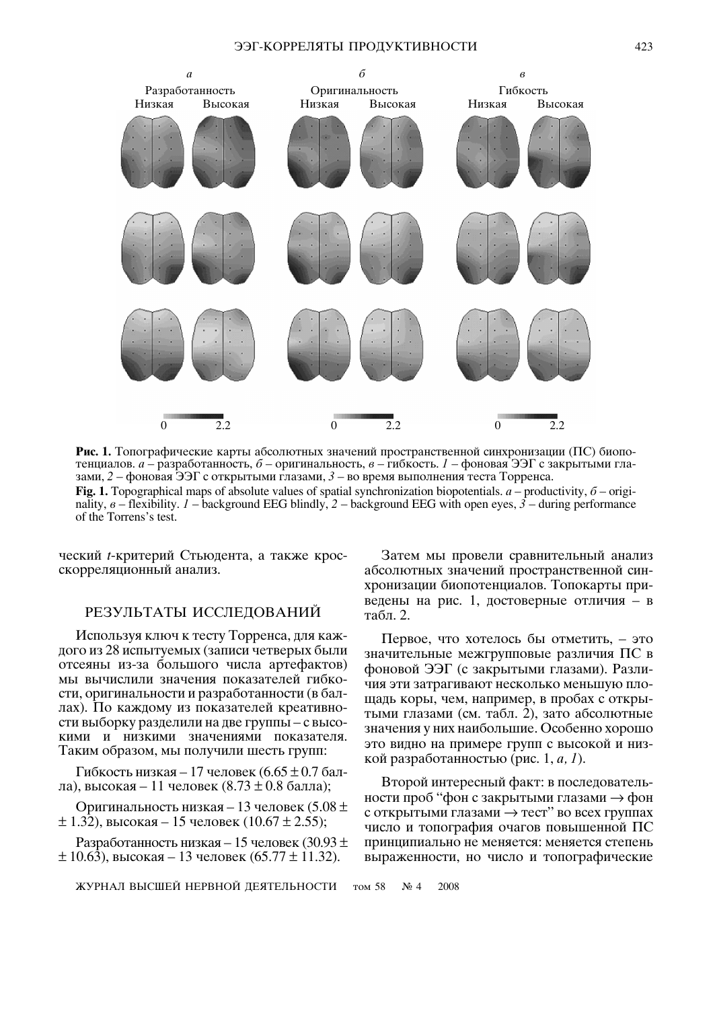

Рис. 1. Топографические карты абсолютных значений пространственной синхронизации (ПС) биопотенциалов. а - разработанность, б - оригинальность, в - гибкость. 1 - фоновая ЭЭГ с закрытыми глазами, 2 - фоновая ЭЭГ с открытыми глазами, 3 - во время выполнения теста Торренса. Fig. 1. Topographical maps of absolute values of spatial synchronization biopotentials.  $a$  – productivity,  $\delta$  – originality,  $\theta$  – flexibility. *I* – background EEG blindly, 2 – background EEG with open eyes,  $\hat{3}$  – during performance of the Torrens's test.

ческий t-критерий Стьюдента, а также кросскорреляционный анализ.

## РЕЗУЛЬТАТЫ ИССЛЕДОВАНИЙ

Используя ключ к тесту Торренса, для каждого из 28 испытуемых (записи четверых были отсеяны из-за большого числа артефактов) мы вычислили значения показателей гибкости, оригинальности и разработанности (в баллах). По каждому из показателей креативности выборку разделили на две группы - с высокими и низкими значениями показателя. Таким образом, мы получили шесть групп:

Гибкость низкая – 17 человек (6.65  $\pm$  0.7 балла), высокая – 11 человек (8.73  $\pm$  0.8 балла);

Оригинальность низкая – 13 человек (5.08  $\pm$  $\pm$  1.32), высокая – 15 человек (10.67  $\pm$  2.55);

Разработанность низкая – 15 человек (30.93  $\pm$  $\pm$  10.63), высокая – 13 человек (65.77  $\pm$  11.32).

ЖУРНАЛ ВЫСШЕЙ НЕРВНОЙ ДЕЯТЕЛЬНОСТИ

Затем мы провели сравнительный анализ абсолютных значений пространственной синхронизации биопотенциалов. Топокарты приведены на рис. 1, достоверные отличия - в табл. 2.

Первое, что хотелось бы отметить, - это значительные межгрупповые различия ПС в фоновой ЭЭГ (с закрытыми глазами). Различия эти затрагивают несколько меньшую площадь коры, чем, например, в пробах с открытыми глазами (см. табл. 2), зато абсолютные значения у них наибольшие. Особенно хорошо это видно на примере групп с высокой и низкой разработанностью (рис. 1,  $a$ , 1).

Второй интересный факт: в последовательности проб "фон с закрытыми глазами  $\rightarrow$  фон с открытыми глазами  $\rightarrow$  тест" во всех группах число и топография очагов повышенной ПС принципиально не меняется: меняется степень выраженности, но число и топографические

том 58  $N_2$  4 2008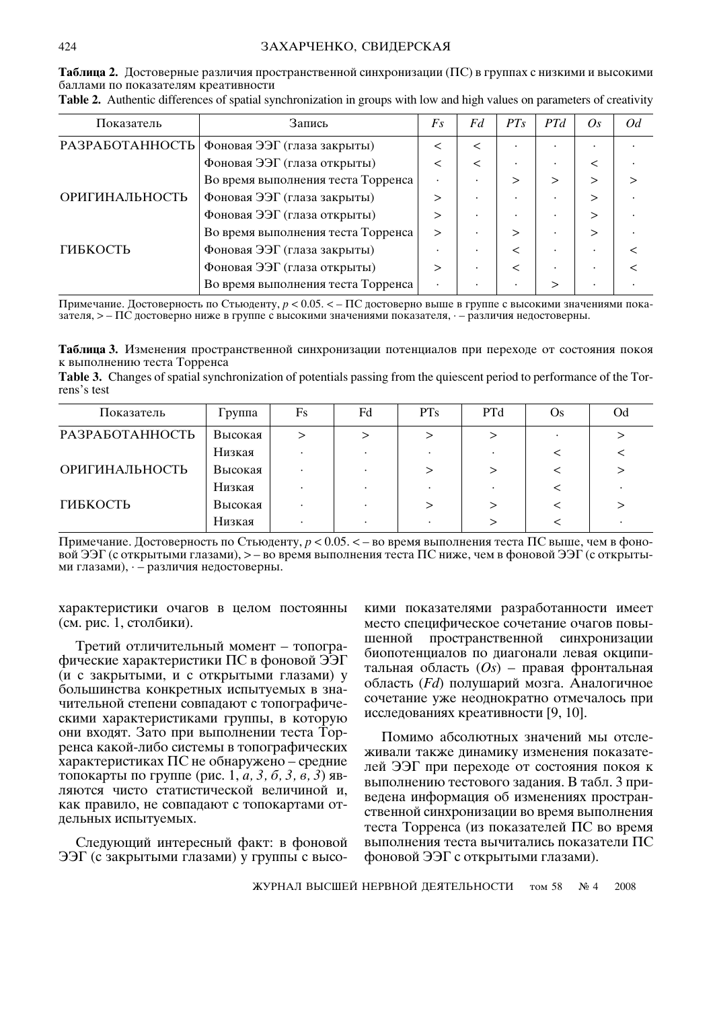| Таблица 2. Достоверные различия пространственной синхронизации (ПС) в группах с низкими и высокими |  |  |
|----------------------------------------------------------------------------------------------------|--|--|
| баллами по показателям креативности                                                                |  |  |

| Показатель      | Запись                             | $F_{S}$   | Fd | PTS          | PTd | Os. | Od |
|-----------------|------------------------------------|-----------|----|--------------|-----|-----|----|
| РАЗРАБОТАННОСТЬ | Фоновая ЭЭГ (глаза закрыты)        | $\,<\,$   | <  |              |     |     |    |
|                 | Фоновая ЭЭГ (глаза открыты)        | $\,<\,$   | <  | $\bullet$    |     |     |    |
|                 | Во время выполнения теста Торренса |           |    | >            |     |     |    |
| ОРИГИНАЛЬНОСТЬ  | Фоновая ЭЭГ (глаза закрыты)        | >         |    | ٠            |     |     |    |
|                 | Фоновая ЭЭГ (глаза открыты)        | >         |    | ٠            |     |     |    |
|                 | Во время выполнения теста Торренса | >         |    | $\mathbf{r}$ |     |     |    |
| ГИБКОСТЬ        | Фоновая ЭЭГ (глаза закрыты)        |           |    | <            |     |     |    |
|                 | Фоновая ЭЭГ (глаза открыты)        | >         |    | $\,<\,$      |     |     |    |
|                 | Во время выполнения теста Торренса | $\bullet$ |    | ٠            | >   |     |    |

Table 2. Authentic differences of spatial synchronization in groups with low and high values on parameters of creativity

Примечание. Достоверность по Стьюденту,  $p < 0.05$ . < – ПС достоверно выше в группе с высокими значениями показателя, > - ПС достоверно ниже в группе с высокими значениями показателя, - - различия недостоверны.

Таблица 3. Изменения пространственной синхронизации потенциалов при переходе от состояния покоя к выполнению теста Торренса

Table 3. Changes of spatial synchronization of potentials passing from the quiescent period to performance of the Torrens's test

| Показатель      | Группа  | Fs | Fd | <b>PTs</b> | <b>PTd</b> | <b>Os</b> | Od |
|-----------------|---------|----|----|------------|------------|-----------|----|
| РАЗРАБОТАННОСТЬ | Высокая |    |    |            |            |           |    |
|                 | Низкая  |    |    |            |            |           |    |
| ОРИГИНАЛЬНОСТЬ  | Высокая |    |    |            |            |           |    |
|                 | Низкая  |    |    |            |            |           |    |
| ГИБКОСТЬ        | Высокая |    |    |            |            |           |    |
|                 | Низкая  |    |    |            |            |           |    |

Примечание. Достоверность по Стьюденту,  $p < 0.05$ .  $\lt$  – во время выполнения теста ПС выше, чем в фоновой ЭЭГ (с открытыми глазами), > – во время выполнения теста ПС ниже, чем в фоновой ЭЭГ (с открытыми глазами),  $-$  различия недостоверны.

характеристики очагов в целом постоянны (см. рис. 1, столбики).

Третий отличительный момент - топографические характеристики ПС в фоновой ЭЭГ (и с закрытыми, и с открытыми глазами) у большинства конкретных испытуемых в значительной степени совпадают с топографическими характеристиками группы, в которую они входят. Зато при выполнении теста Торренса какой-либо системы в топографических характеристиках ПС не обнаружено – средние топокарты по группе (рис. 1, *а*, 3, *б*, 3, *в*, 3) являются чисто статистической величиной и, как правило, не совпадают с топокартами отдельных испытуемых.

Следующий интересный факт: в фоновой ЭЭГ (с закрытыми глазами) у группы с высокими показателями разработанности имеет место специфическое сочетание очагов повышенной пространственной синхронизации биопотенциалов по диагонали левая окципитальная область  $(O<sub>S</sub>)$  – правая фронтальная область (*Fd*) полушарий мозга. Аналогичное сочетание уже неоднократно отмечалось при исследованиях креативности [9, 10].

Помимо абсолютных значений мы отслеживали также динамику изменения показателей ЭЭГ при переходе от состояния покоя к выполнению тестового задания. В табл. 3 приведена информация об изменениях пространственной синхронизации во время выполнения теста Торренса (из показателей ПС во время выполнения теста вычитались показатели ПС фоновой ЭЭГ с открытыми глазами).

ЖУРНАЛ ВЫСШЕЙ НЕРВНОЙ ДЕЯТЕЛЬНОСТИ ТОМ 58  $\mathbf{N}^{\mathbf{0}}$  4 2008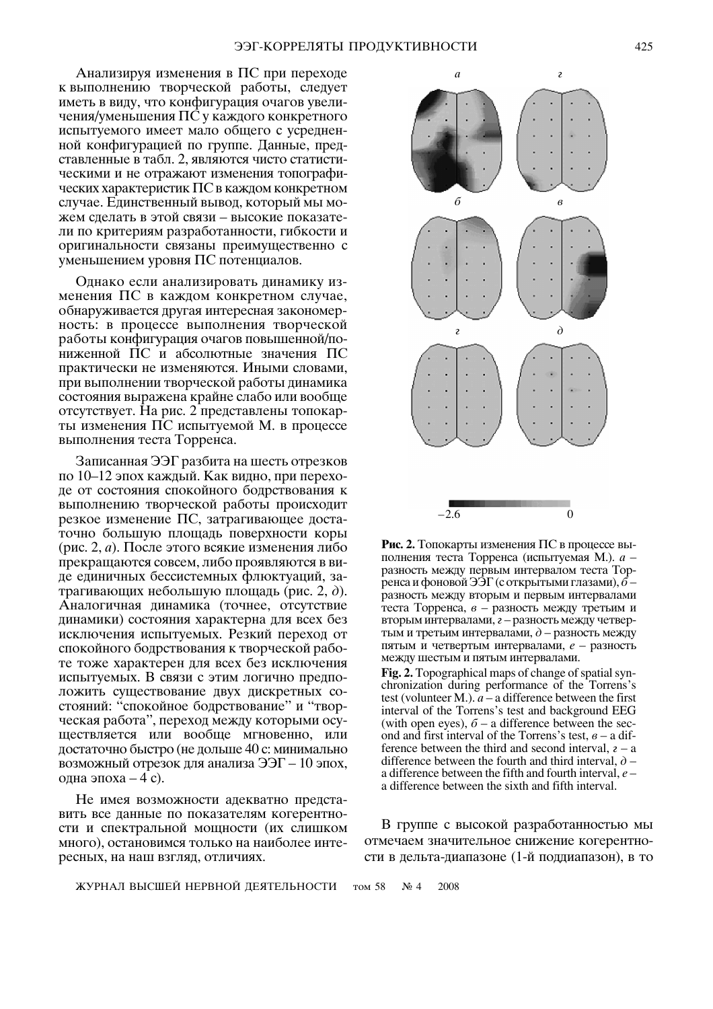Анализируя изменения в ПС при переходе к выполнению творческой работы, следует иметь в виду, что конфигурация очагов увеличения/уменьшения ПС у каждого конкретного испытуемого имеет мало общего с усредненной конфигурацией по группе. Данные, представленные в табл. 2, являются чисто статистическими и не отражают изменения топографических характеристик ПС в каждом конкретном случае. Единственный вывод, который мы можем спелать в этой связи - высокие показатели по критериям разработанности, гибкости и оригинальности связаны преимущественно с уменьшением уровня ПС потенциалов.

Однако если анализировать динамику изменения ПС в каждом конкретном случае, обнаруживается другая интересная закономерность: в процессе выполнения творческой работы конфигурация очагов повышенной/пониженной ПС и абсолютные значения ПС практически не изменяются. Иными словами, при выполнении творческой работы динамика состояния выражена крайне слабо или вообще отсутствует. На рис. 2 представлены топокарты изменения ПС испытуемой М. в процессе выполнения теста Торренса.

Записанная ЭЭГ разбита на шесть отрезков по 10–12 эпох каждый. Как видно, при переходе от состояния спокойного бодрствования к выполнению творческой работы происходит резкое изменение ПС, затрагивающее достаточно большую площадь поверхности коры (рис. 2, *а*). После этого всякие изменения либо прекращаются совсем, либо проявляются в виде единичных бессистемных флюктуаций, затрагивающих небольшую площадь (рис. 2,  $\partial$ ). Аналогичная динамика (точнее, отсутствие динамики) состояния характерна для всех без исключения испытуемых. Резкий переход от спокойного бодрствования к творческой работе тоже характерен для всех без исключения испытуемых. В связи с этим логично предположить существование двух дискретных состояний: "спокойное бодрствование" и "творческая работа", переход между которыми осуществляется или вообще мгновенно, или достаточно быстро (не дольше 40 с: минимально возможный отрезок для анализа  $\Im$ – 10 эпох, одна эпоха  $-4$  c).

Не имея возможности адекватно представить все данные по показателям когерентности и спектральной мощности (их слишком много), остановимся только на наиболее интересных, на наш взгляд, отличиях.



Рис. 2. Топокарты изменения ПС в процессе выполнения теста Торренса (испытуемая М.). а разность между первым интервалом теста Торренса и фоновой ЭЭГ (с открытыми глазами),  $\bar{6}$  разность между вторым и первым интервалами теста Торренса, в - разность между третьим и вторым интервалами, г - разность между четвертым и третьим интервалами,  $\partial$  – разность между пятым и четвертым интервалами, е - разность между шестым и пятым интервалами. Fig. 2. Topographical maps of change of spatial synchronization during performance of the Torrens's test (volunteer M.).  $a - a$  difference between the first interval of the Torrens's test and background EEG (with open eyes),  $\delta$  – a difference between the second and first interval of the Torrens's test,  $\theta$  – a difference between the third and second interval,  $z - a$ difference between the fourth and third interval,  $\partial$  – a difference between the fifth and fourth interval.  $e$  – a difference between the sixth and fifth interval.

В группе с высокой разработанностью мы отмечаем значительное снижение когерентности в дельта-диапазоне (1-й поддиапазон), в то

том 58  $N_2$  4 2008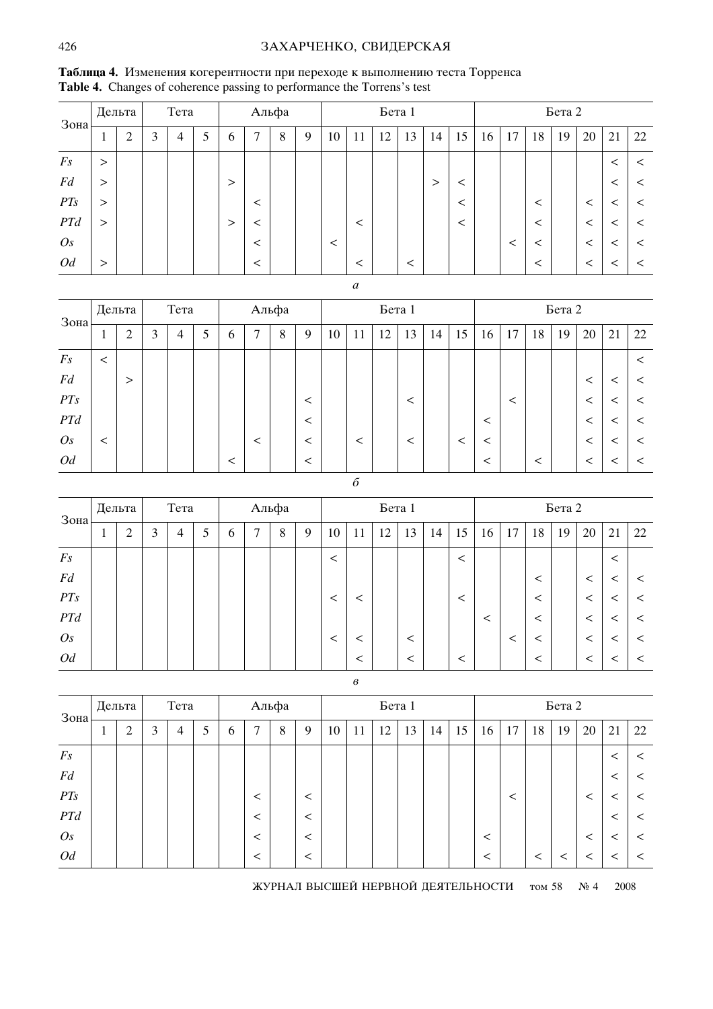# ЗАХАРЧЕНКО, СВИДЕРСКАЯ

| Зона           |          | Дельта         |   | Тета |   |        |                | Альфа |   |         |         | Бета 1 |       |    |         |    |       |         | Бета 2 |         |       |         |
|----------------|----------|----------------|---|------|---|--------|----------------|-------|---|---------|---------|--------|-------|----|---------|----|-------|---------|--------|---------|-------|---------|
|                | 1        | $\mathfrak{2}$ | 3 | 4    | 5 | 6      | $\overline{ }$ | 8     | 9 | 10      | 11      | 12     | 13    | 14 | 15      | 16 | 17    | 18      | 19     | 20      | 21    | 22      |
| Fs             | $\geq$   |                |   |      |   |        |                |       |   |         |         |        |       |    |         |    |       |         |        |         | $\,<$ | $\,<\,$ |
| Fd             | $\rm{>}$ |                |   |      |   | $\geq$ |                |       |   |         |         |        |       | >  | $\,<\,$ |    |       |         |        |         | $\,<$ | $\,<\,$ |
| PTS            | $\,>\,$  |                |   |      |   |        | $\,<\,$        |       |   |         |         |        |       |    | $\,<\,$ |    |       | $\,<\,$ |        | ≺       |       | <       |
| <b>PTd</b>     | $\rm{>}$ |                |   |      |   | $\geq$ |                |       |   |         | $\,<\,$ |        |       |    | $\,<\,$ |    |       | $\,<\,$ |        | $\,<\,$ |       |         |
| O <sub>S</sub> |          |                |   |      |   |        |                |       |   | $\,<\,$ |         |        |       |    |         |    | $\,<$ | <       |        | <       |       |         |
| Od             | $\gt$    |                |   |      |   |        |                |       |   |         |         |        | $\,<$ |    |         |    |       | $\,<\,$ |        | <       |       |         |

Таблица 4. Изменения когерентности при переходе к выполнению теста Торренса **Table 4.** Changes of coherence passing to performance the Torrens's test

| . . | I<br>۰. |  |
|-----|---------|--|
|     |         |  |

| $3$ <sub>OHa</sub> |          | Дельта         |   | Тета |   |       |              | Альфа |         |    |    | Бета 1 |         |    |         |         |    |       | Бета 2 |         |    |    |
|--------------------|----------|----------------|---|------|---|-------|--------------|-------|---------|----|----|--------|---------|----|---------|---------|----|-------|--------|---------|----|----|
|                    | $\bf{I}$ | $\overline{2}$ | 3 | 4    | 5 | 6     | $\mathbf{r}$ | 8     | 9       | 10 | 11 | 12     | 13      | 14 | 15      | 16      | 17 | 18    | 19     | 20      | 21 | 22 |
| F <sub>S</sub>     | $\,<\,$  |                |   |      |   |       |              |       |         |    |    |        |         |    |         |         |    |       |        |         |    |    |
| Fd                 |          | >              |   |      |   |       |              |       |         |    |    |        |         |    |         |         |    |       |        | $\,<\,$ |    |    |
| PTS                |          |                |   |      |   |       |              |       | <       |    |    |        | $\,<\,$ |    |         |         |    |       |        | $\,<\,$ |    |    |
| PTd                |          |                |   |      |   |       |              |       | $\,<\,$ |    |    |        |         |    |         | $\,<\,$ |    |       |        | $\,<\,$ |    |    |
| O <sub>S</sub>     | $\,<\,$  |                |   |      |   |       | <            |       | <       |    | <  |        | $\,<\,$ |    | $\,<\,$ | $\,<$   |    |       |        | $\,<$   |    | <  |
| Od                 |          |                |   |      |   | $\,<$ |              |       | <       |    |    |        |         |    |         | $\,<\,$ |    | $\,<$ |        | $\,<\,$ |    |    |

| I<br>I<br>٠<br>٧<br>š |  |
|-----------------------|--|
| ۰,<br>×<br>۰.         |  |

| Зона           | Дельта |                             |   | Тета |   |          |   | Альфа |   |         |    | Бета 1 |         |    |         |    |         |         | Бета 2 |         |       |    |
|----------------|--------|-----------------------------|---|------|---|----------|---|-------|---|---------|----|--------|---------|----|---------|----|---------|---------|--------|---------|-------|----|
|                |        | $\bigcap$<br>$\overline{a}$ | 3 | 4    | 5 | $\sigma$ | ⇁ | 8     | 9 | 10      | 11 | 12     | 13      | 14 | 15      | 16 | 17      | 18      | 19     | 20      | 21    | 22 |
| $F_{S}$        |        |                             |   |      |   |          |   |       |   | $\,<\,$ |    |        |         |    | $\,<\,$ |    |         |         |        |         | $\,<$ |    |
| Fd             |        |                             |   |      |   |          |   |       |   |         |    |        |         |    |         |    |         | $\,<\,$ |        | $\,<\,$ |       |    |
| PTS            |        |                             |   |      |   |          |   |       |   | <       |    |        |         |    | <       |    |         | $\,<\,$ |        | $\,<\,$ |       |    |
| PTd            |        |                             |   |      |   |          |   |       |   |         |    |        |         |    |         |    |         | $\,<\,$ |        | $\,<\,$ |       |    |
| O <sub>S</sub> |        |                             |   |      |   |          |   |       |   | $\,<\,$ |    |        | $\,<\,$ |    |         |    | $\,<\,$ | $\,<\,$ |        | $\,<\,$ |       |    |
| Od             |        |                             |   |      |   |          |   |       |   |         |    |        | $\,<\,$ |    | $\,<$   |    |         | $\,<\,$ |        | $\,<\,$ |       |    |

*'*

| $3$ <sub>OHa</sub> | Дельта |   | Тета |   |               |              | Альфа |         |    |    | Бета 1 |    |    |    |         |    |         | Бета 2  |    |         |         |
|--------------------|--------|---|------|---|---------------|--------------|-------|---------|----|----|--------|----|----|----|---------|----|---------|---------|----|---------|---------|
|                    | ↑<br>∠ | 3 | 4    | 5 | $\mathfrak b$ | $\mathbf{r}$ | 8     | 9       | 10 | 11 | 12     | 13 | 14 | 15 | 16      | 17 | 18      | 19      | 20 | 21      | 22      |
| Fs                 |        |   |      |   |               |              |       |         |    |    |        |    |    |    |         |    |         |         |    | $\,<\,$ | $\,<\,$ |
| Fd                 |        |   |      |   |               |              |       |         |    |    |        |    |    |    |         |    |         |         |    |         |         |
| PT <sub>S</sub>    |        |   |      |   |               | $\,<\,$      |       | $\,<\,$ |    |    |        |    |    |    |         | <  |         |         | <  |         | $\,<\,$ |
| PTd                |        |   |      |   |               | $\,<\,$      |       | <       |    |    |        |    |    |    |         |    |         |         |    | ≦       | $\,<\,$ |
| O <sub>S</sub>     |        |   |      |   |               |              |       | <       |    |    |        |    |    |    | $\prec$ |    |         |         | <  |         | $\,<\,$ |
| Od                 |        |   |      |   |               |              |       | $\,<\,$ |    |    |        |    |    |    |         |    | $\,<\,$ | $\,<\,$ |    |         | $\,<\,$ |

ЖУРНАЛ ВЫСШЕЙ НЕРВНОЙ ДЕЯТЕЛЬНОСТИ том 58 № 4 2008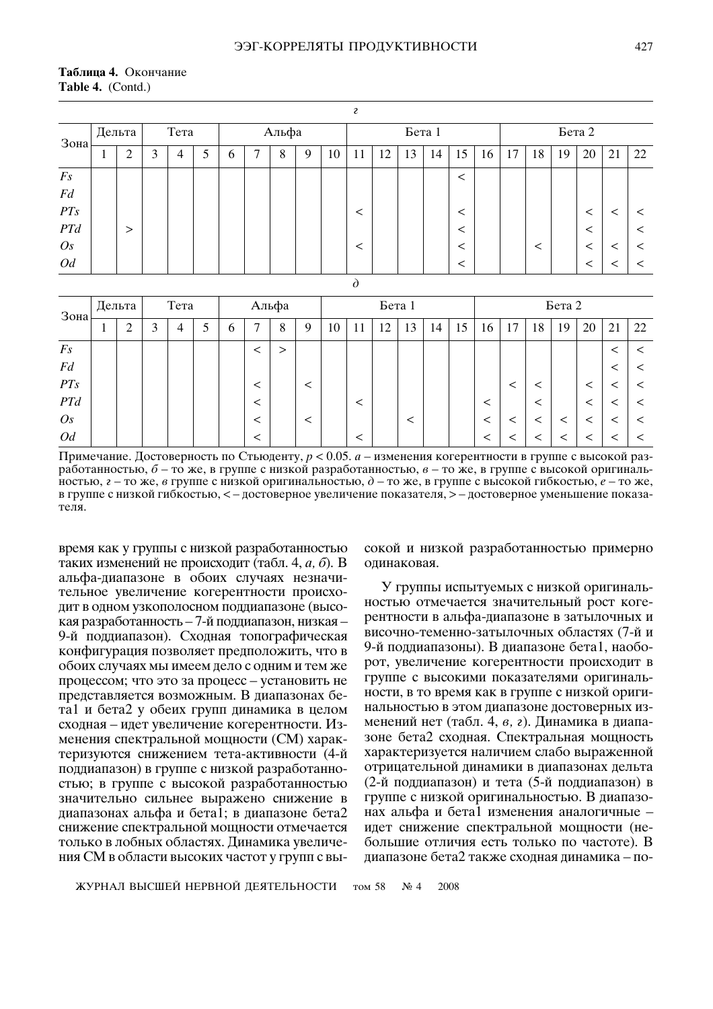## Таблица 4. Окончание Table 4. (Contd.)

|                |        |   |      |   |               |   |       |   |    | <sub>2</sub> |    |        |    |         |    |    |    |    |        |    |    |
|----------------|--------|---|------|---|---------------|---|-------|---|----|--------------|----|--------|----|---------|----|----|----|----|--------|----|----|
| Зона           | Дельта |   | Тета |   |               |   | Альфа |   |    |              |    | Бета 1 |    |         |    |    |    |    | Бета 2 |    |    |
|                | ◠<br>∠ | 3 | 4    | 5 | $\mathfrak b$ | ⇁ | 8     | 9 | 10 | 11           | 12 | 13     | 14 | 15      | 16 | 17 | 18 | 19 | 20     | 21 | 22 |
| $F_{S}$        |        |   |      |   |               |   |       |   |    |              |    |        |    | $\,<\,$ |    |    |    |    |        |    |    |
| Fd             |        |   |      |   |               |   |       |   |    |              |    |        |    |         |    |    |    |    |        |    |    |
| PTS            |        |   |      |   |               |   |       |   |    | <            |    |        |    | $\,<\,$ |    |    |    |    | $\,<$  |    |    |
| PTd            | >      |   |      |   |               |   |       |   |    |              |    |        |    | $\,<\,$ |    |    |    |    | $\,<$  |    |    |
| O <sub>S</sub> |        |   |      |   |               |   |       |   |    |              |    |        |    | $\,<$   |    |    | <  |    | $\,<$  |    |    |
| Od             |        |   |      |   |               |   |       |   |    |              |    |        |    | $\,<\,$ |    |    |    |    | $\,<$  |    |    |
|                |        |   |      |   |               |   |       |   |    | $\lambda$    |    |        |    |         |    |    |    |    |        |    |    |

| Зона           | Дельта |        |   | Тета |   |             | Альфа |   |   |    |        | Бета 1 |       |    |    |    |        |    | Бета 2 |    |    |    |
|----------------|--------|--------|---|------|---|-------------|-------|---|---|----|--------|--------|-------|----|----|----|--------|----|--------|----|----|----|
|                |        | ◠<br>∠ | 3 | 4    | 5 | $\mathbf b$ | ⇁     | 8 | Q | 10 | 1<br>1 | 12     | 13    | 14 | 15 | 16 | $\tau$ | 18 | 19     | 20 | 21 | 22 |
| F <sub>S</sub> |        |        |   |      |   |             |       | > |   |    |        |        |       |    |    |    |        |    |        |    |    |    |
| Fd             |        |        |   |      |   |             |       |   |   |    |        |        |       |    |    |    |        |    |        |    |    |    |
| PTS            |        |        |   |      |   |             |       |   |   |    |        |        |       |    |    |    |        |    |        |    |    |    |
| PTd            |        |        |   |      |   |             |       |   |   |    |        |        |       |    |    |    |        | <  |        | ≦  |    |    |
| O <sub>S</sub> |        |        |   |      |   |             |       |   |   |    |        |        | $\,<$ |    |    |    |        |    | <      |    |    |    |
| Od             |        |        |   |      |   |             |       |   |   |    |        |        |       |    |    |    |        |    |        |    |    |    |

Примечание. Достоверность по Стьюденту,  $p < 0.05$ . *а* – изменения когерентности в группе с высокой разработанностью,  $\delta$  – то же, в группе с низкой разработанностью,  $\epsilon$  – то же, в группе с высокой оригинальностью,  $z$  – то же, в группе с низкой оригинальностью,  $\partial$  – то же, в группе с высокой гибкостью,  $e$  – то же, в группе с низкой гибкостью, < - достоверное увеличение показателя, > - достоверное уменьшение показателя.

время как у группы с низкой разработанностью таких изменений не происходит (табл. 4, *а*, *б*). В альфа-диапазоне в обоих случаях незначительное увеличение когерентности происходит в одном узкополосном поддиапазоне (высокая разработанность - 7-й поддиапазон, низкая -9-й поддиапазон). Сходная топографическая конфигурация позволяет предположить, что в обоих случаях мы имеем дело с одним и тем же процессом; что это за процесс - установить не представляется возможным. В диапазонах бета1 и бета2 у обеих групп динамика в целом сходная – идет увеличение когерентности. Изменения спектральной мощности (СМ) характеризуются снижением тета-активности (4-й поддиапазон) в группе с низкой разработанностью; в группе с высокой разработанностью значительно сильнее выражено снижение в диапазонах альфа и бета1; в диапазоне бета2 снижение спектральной мощности отмечается только в лобных областях. Динамика увеличения СМ в области высоких частот у групп с высокой и низкой разработанностью примерно одинаковая.

У группы испытуемых с низкой оригинальностью отмечается значительный рост когерентности в альфа-диапазоне в затылочных и височно-теменно-затылочных областях (7-й и 9-й поддиапазоны). В диапазоне бета1, наоборот, увеличение когерентности происходит в группе с высокими показателями оригинальности, в то время как в группе с низкой оригинальностью в этом диапазоне достоверных изменений нет (табл. 4, в, г). Динамика в диапазоне бета2 сходная. Спектральная мощность характеризуется наличием слабо выраженной отрицательной динамики в диапазонах дельта (2-й поддиапазон) и тета (5-й поддиапазон) в группе с низкой оригинальностью. В диапазонах альфа и бета1 изменения аналогичные идет снижение спектральной мощности (небольшие отличия есть только по частоте). В диапазоне бета2 также сходная динамика - по-

ЖУРНАЛ ВЫСШЕЙ НЕРВНОЙ ДЕЯТЕЛЬНОСТИ том 58  $\mathbf{N}$ <sup>0</sup> 4 2008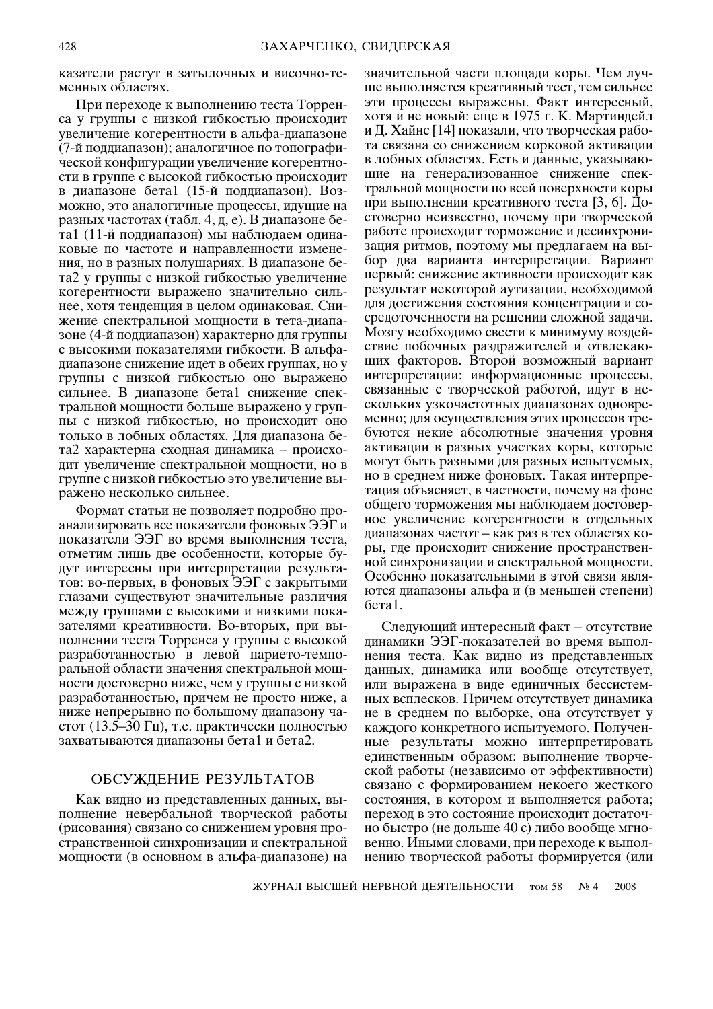казатели растут в затылочных и височно-теменных областях.

При переходе к выполнению теста Торренса у группы с низкой гибкостью происходит увеличение когерентности в альфа-диапазоне (7-й поддиапазон); аналогичное по топографической конфигурации увеличение когерентности в группе с высокой гибкостью происходит в диапазоне бета1 (15-й поддиапазон). Возможно, это аналогичные процессы, идущие на разных частотах (табл. 4, д, е). В диапазоне бета1 (11-й поддиапазон) мы наблюдаем одинаковые по частоте и направленности изменения, но в разных полушариях. В диапазоне бета2 у группы с низкой гибкостью увеличение когерентности выражено значительно сильнее, хотя тенденция в целом одинаковая. Снижение спектральной мощности в тета-диапазоне (4-й поддиапазон) характерно для группы с высокими показателями гибкости. В альфадиапазоне снижение идет в обеих группах, но у группы с низкой гибкостью оно выражено сильнее. В диапазоне бета1 снижение спектральной мощности больше выражено у группы с низкой гибкостью, но происходит оно только в лобных областях. Для диапазона бета2 характерна сходная динамика - происходит увеличение спектральной мощности, но в группе с низкой гибкостью это увеличение выражено несколько сильнее.

Формат статьи не позволяет подробно проанализировать все показатели фоновых ЭЭГ и показатели ЭЭГ во время выполнения теста, отметим лишь две особенности, которые будут интересны при интерпретации результатов: во-первых, в фоновых ЭЭГ с закрытыми глазами существуют значительные различия межлу группами с высокими и низкими показателями креативности. Во-вторых, при выполнении теста Торренса у группы с высокой разработанностью в левой парието-темпоральной области значения спектральной мощности достоверно ниже, чем у группы с низкой разработанностью, причем не просто ниже, а ниже непрерывно по большому диапазону частот (13.5–30 Гц), т.е. практически полностью захватываются диапазоны бета1 и бета2.

## ОБСУЖДЕНИЕ РЕЗУЛЬТАТОВ

Как видно из представленных данных, выполнение невербальной творческой работы (рисования) связано со снижением уровня пространственной синхронизации и спектральной мощности (в основном в альфа-диапазоне) на

значительной части площади коры. Чем лучше выполняется креативный тест, тем сильнее эти процессы выражены. Факт интересный, хотя и не новый: еще в 1975 г. К. Мартиндейл и Д. Хайнс [14] показали, что творческая работа связана со снижением корковой активации в лобных областях. Есть и данные, указывающие на генерализованное снижение спектральной мощности по всей поверхности коры при выполнении креативного теста [3, 6]. Достоверно неизвестно, почему при творческой работе происходит торможение и десинхронизация ритмов, поэтому мы предлагаем на выбор два варианта интерпретации. Вариант первый: снижение активности происходит как результат некоторой аутизации, необходимой для достижения состояния концентрации и сосредоточенности на решении сложной задачи. Мозгу необходимо свести к минимуму воздействие побочных раздражителей и отвлекающих факторов. Второй возможный вариант интерпретации: информационные процессы, связанные с творческой работой, идут в нескольких узкочастотных диапазонах одновременно; для осуществления этих процессов требуются некие абсолютные значения уровня активации в разных участках коры, которые могут быть разными для разных испытуемых, но в среднем ниже фоновых. Такая интерпретация объясняет, в частности, почему на фоне общего торможения мы наблюдаем достоверное увеличение когерентности в отдельных диапазонах частот – как раз в тех областях коры, где происходит снижение пространственной синхронизации и спектральной мощности. Особенно показательными в этой связи являются диапазоны альфа и (в меньшей степени) бета1.

Следующий интересный факт – отсутствие динамики ЭЭГ-показателей во время выполнения теста. Как видно из представленных данных, динамика или вообще отсутствует, или выражена в виде единичных бессистемных всплесков. Причем отсутствует динамика не в среднем по выборке, она отсутствует у каждого конкретного испытуемого. Полученные результаты можно интерпретировать единственным образом: выполнение творческой работы (независимо от эффективности) связано с формированием некоего жесткого состояния, в котором и выполняется работа; переход в это состояние происходит достаточно быстро (не дольше 40 с) либо вообще мгновенно. Иными словами, при переходе к выполнению творческой работы формируется (или

ЖУРНАЛ ВЫСШЕЙ НЕРВНОЙ ДЕЯТЕЛЬНОСТИ том 58  $N_2$  4 2008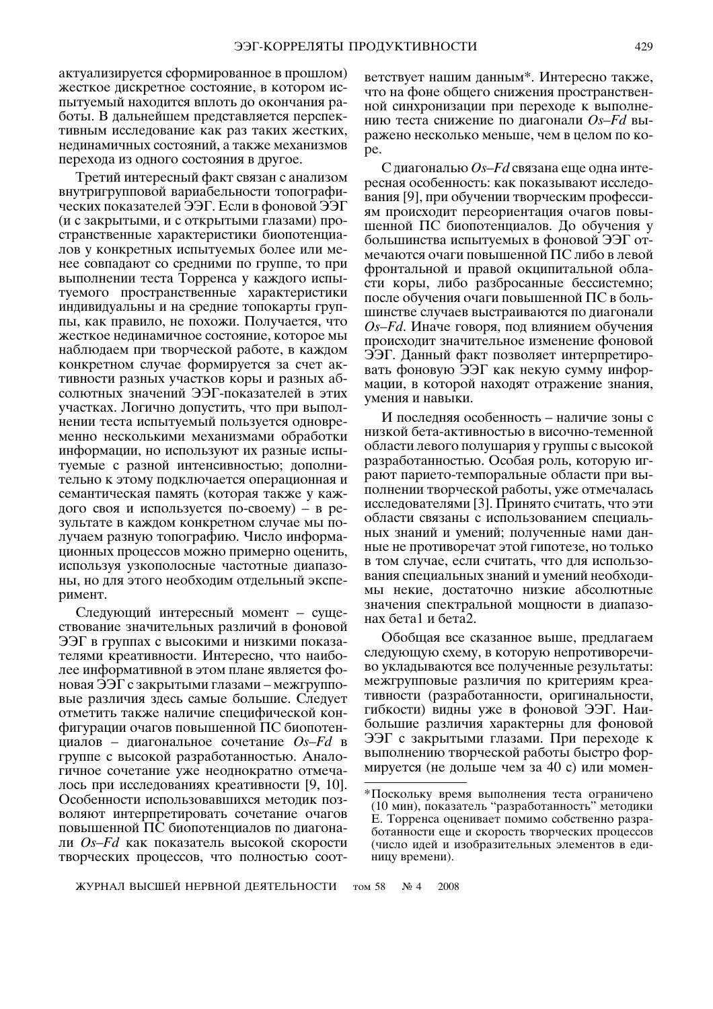актуализируется сформированное в прошлом) жесткое дискретное состояние, в котором испытуемый находится вплоть до окончания работы. В дальнейшем представляется перспективным исследование как раз таких жестких, нединамичных состояний, а также механизмов перехода из одного состояния в другое.

Третий интересный факт связан с анализом внутригрупповой вариабельности топографических показателей ЭЭГ. Если в фоновой ЭЭГ (и с закрытыми, и с открытыми глазами) пространственные характеристики биопотенциалов у конкретных испытуемых более или менее совпадают со средними по группе, то при выполнении теста Торренса у каждого испытуемого пространственные характеристики индивидуальны и на средние топокарты группы, как правило, не похожи. Получается, что жесткое нединамичное состояние, которое мы наблюдаем при творческой работе, в каждом конкретном случае формируется за счет активности разных участков коры и разных абсолютных значений ЭЭГ-показателей в этих участках. Логично допустить, что при выполнении теста испытуемый пользуется одновременно несколькими механизмами обработки информации, но используют их разные испытуемые с разной интенсивностью; дополнительно к этому подключается операционная и семантическая память (которая также у каждого своя и используется по-своему) - в результате в каждом конкретном случае мы получаем разную топографию. Число информационных процессов можно примерно оценить, используя узкополосные частотные диапазоны, но для этого необходим отдельный эксперимент.

Следующий интересный момент - существование значительных различий в фоновой ЭЭГ в группах с высокими и низкими показателями креативности. Интересно, что наиболее информативной в этом плане является фоновая ЭЭГ с закрытыми глазами – межгрупповые различия здесь самые большие. Следует отметить также наличие специфической конфигурации очагов повышенной ПС биопотенциалов – диагональное сочетание  $Os-Fd$  в группе с высокой разработанностью. Аналогичное сочетание уже неоднократно отмечалось при исследованиях креативности [9, 10]. Особенности использовавшихся методик позволяют интерпретировать сочетание очагов повышенной ПС биопотенциалов по диагонали Os-Fd как показатель высокой скорости творческих процессов, что полностью соот-

ветствует нашим данным\*. Интересно также, что на фоне общего снижения пространственной синхронизации при переходе к выполнению теста снижение по диагонали  $Os-Fd$  выражено несколько меньше, чем в целом по коpe.

С диагональю  $Os-Fd$  связана еще одна интересная особенность: как показывают исследования [9], при обучении творческим профессиям происходит переориентация очагов повышенной ПС биопотенциалов. До обучения у большинства испытуемых в фоновой ЭЭГ отмечаются очаги повышенной ПС либо в левой фронтальной и правой окципитальной области коры, либо разбросанные бессистемно; после обучения очаги повышенной ПС в большинстве случаев выстраиваются по диагонали Os-Fd. Иначе говоря, под влиянием обучения происходит значительное изменение фоновой ЭЭГ. Данный факт позволяет интерпретировать фоновую ЭЭГ как некую сумму информации, в которой находят отражение знания, умения и навыки.

И последняя особенность – наличие зоны с низкой бета-активностью в височно-теменной области левого полушария у группы с высокой разработанностью. Особая роль, которую играют парието-темпоральные области при выполнении творческой работы, уже отмечалась исследователями [3]. Принято считать, что эти области связаны с использованием специальных знаний и умений; полученные нами данные не противоречат этой гипотезе, но только в том случае, если считать, что для использования специальных знаний и умений необходимы некие, достаточно низкие абсолютные значения спектральной мощности в диапазонах бета1 и бета2.

Обобщая все сказанное выше, предлагаем следующую схему, в которую непротиворечиво укладываются все полученные результаты: межгрупповые различия по критериям креативности (разработанности, оригинальности, гибкости) видны уже в фоновой ЭЭГ. Наибольшие различия характерны для фоновой ЭЭГ с закрытыми глазами. При переходе к выполнению творческой работы быстро формируется (не дольше чем за 40 с) или момен-

ЖУРНАЛ ВЫСШЕЙ НЕРВНОЙ ДЕЯТЕЛЬНОСТИ том 58  $N_2$  4 2008

<sup>\*</sup>Поскольку время выполнения теста ограничено (10 мин), показатель "разработанность" методики Е. Торренса оценивает помимо собственно разработанности еще и скорость творческих процессов (число идей и изобразительных элементов в единицу времени).